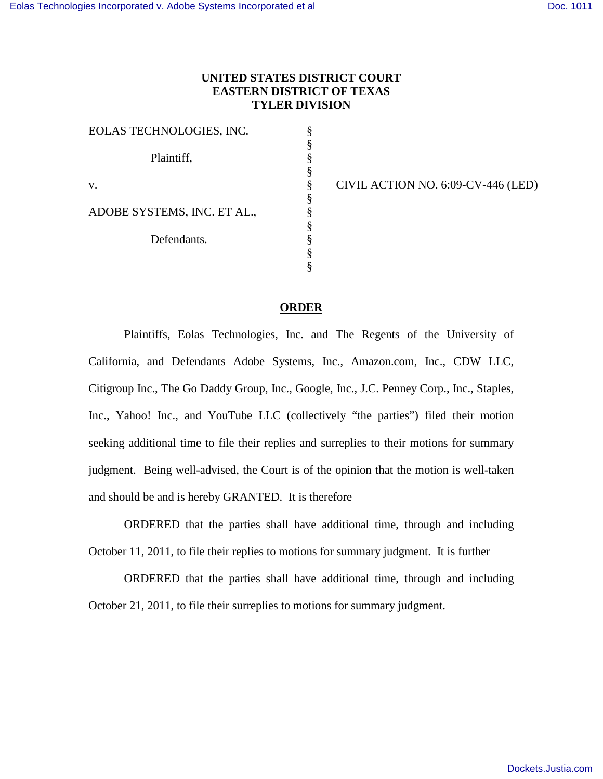## **UNITED STATES DISTRICT COURT EASTERN DISTRICT OF TEXAS TYLER DIVISION**

§ § § § § § § § § § §

EOLAS TECHNOLOGIES, INC. Plaintiff, v. ADOBE SYSTEMS, INC. ET AL., Defendants.

CIVIL ACTION NO. 6:09-CV-446 (LED)

## **ORDER**

Plaintiffs, Eolas Technologies, Inc. and The Regents of the University of California, and Defendants Adobe Systems, Inc., Amazon.com, Inc., CDW LLC, Citigroup Inc., The Go Daddy Group, Inc., Google, Inc., J.C. Penney Corp., Inc., Staples, Inc., Yahoo! Inc., and YouTube LLC (collectively "the parties") filed their motion seeking additional time to file their replies and surreplies to their motions for summary judgment. Being well-advised, the Court is of the opinion that the motion is well-taken and should be and is hereby GRANTED. It is therefore

ORDERED that the parties shall have additional time, through and including October 11, 2011, to file their replies to motions for summary judgment. It is further

ORDERED that the parties shall have additional time, through and including October 21, 2011, to file their surreplies to motions for summary judgment.